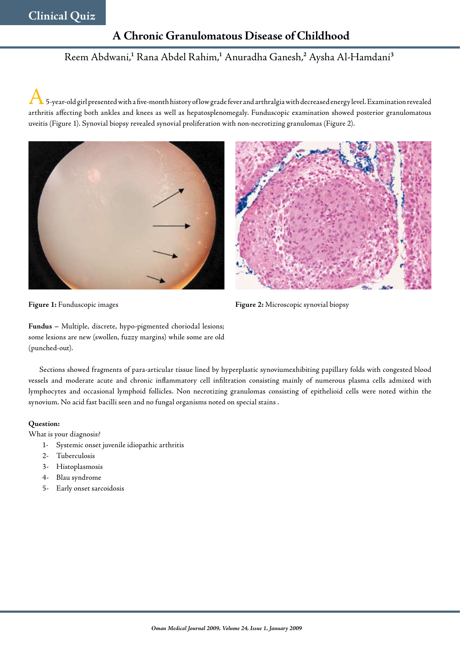## **A Chronic Granulomatous Disease of Childhood**

# Reem Abdwani,<sup>1</sup> Rana Abdel Rahim,<sup>1</sup> Anuradha Ganesh,<sup>2</sup> Aysha Al-Hamdani<sup>3</sup>

 $\blacktriangle$  5-year-old girl presented with a five-month history of low grade fever and arthralgia with decreased energy level. Examination revealed arthritis affecting both ankles and knees as well as hepatosplenomegaly. Funduscopic examination showed posterior granulomatous uveitis (Figure 1). Synovial biopsy revealed synovial proliferation with non-necrotizing granulomas (Figure 2).





**Figure 1:** Funduscopic images

**Figure 2:** Microscopic synovial biopsy

**Fundus –** Multiple, discrete, hypo-pigmented choriodal lesions; some lesions are new (swollen, fuzzy margins) while some are old (punched-out).

Sections showed fragments of para-articular tissue lined by hyperplastic synoviumexhibiting papillary folds with congested blood vessels and moderate acute and chronic inflammatory cell infiltration consisting mainly of numerous plasma cells admixed with lymphocytes and occasional lymphoid follicles. Non necrotizing granulomas consisting of epithelioid cells were noted within the synovium. No acid fast bacilli seen and no fungal organisms noted on special stains .

## **Question:**

What is your diagnosis?

- 1- Systemic onset juvenile idiopathic arthritis
- 2- Tuberculosis
- 3- Histoplasmosis
- 4- Blau syndrome
- 5- Early onset sarcoidosis